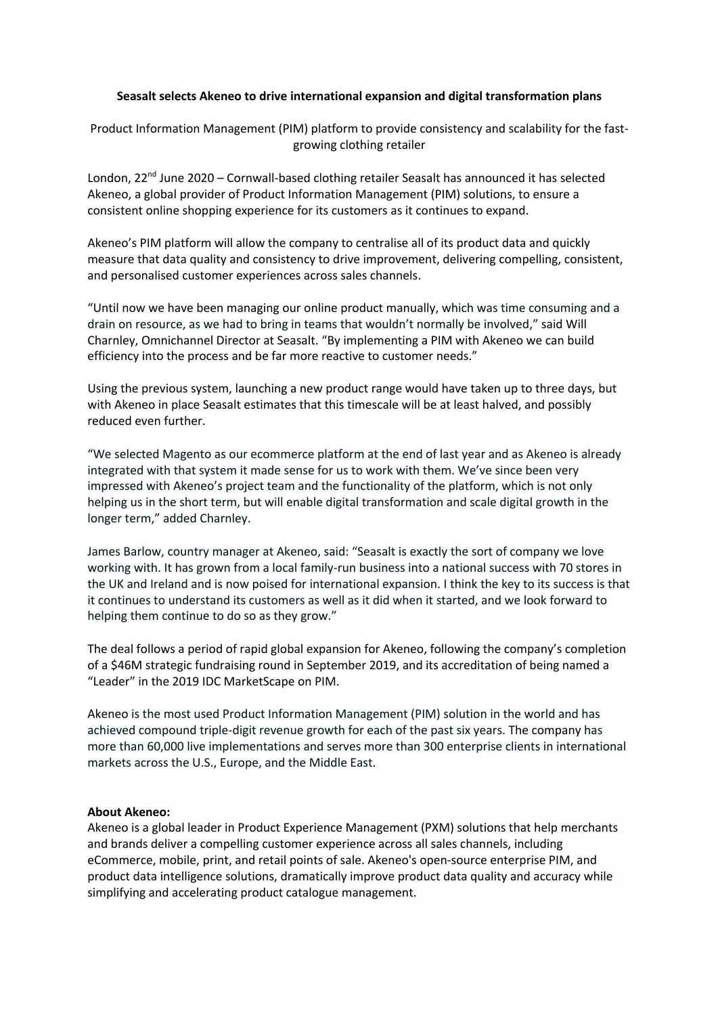## **Seasalt selects Akeneo to drive international expansion and digital transformation plans**

Product Information Management (PIM) platform to provide consistency and scalability for the fastgrowing clothing retailer

London, 22<sup>nd</sup> June 2020 – Cornwall-based clothing retailer Seasalt has announced it has selected Akeneo, a global provider of Product Information Management (PIM) solutions, to ensure a consistent online shopping experience for its customers as it continues to expand.

Akeneo's PIM platform will allow the company to centralise all of its product data and quickly measure that data quality and consistency to drive improvement, delivering compelling, consistent, and personalised customer experiences across sales channels.

"Until now we have been managing our online product manually, which was time consuming and a drain on resource, as we had to bring in teams that wouldn't normally be involved," said Will Charnley, Omnichannel Director at Seasalt. "By implementing a PIM with Akeneo we can build efficiency into the process and be far more reactive to customer needs."

Using the previous system, launching a new product range would have taken up to three days, but with Akeneo in place Seasalt estimates that this timescale will be at least halved, and possibly reduced even further.

"We selected Magento as our ecommerce platform at the end of last year and as Akeneo is already integrated with that system it made sense for us to work with them. We've since been very impressed with Akeneo's project team and the functionality of the platform, which is not only helping us in the short term, but will enable digital transformation and scale digital growth in the longer term," added Charnley.

James Barlow, country manager at Akeneo, said: "Seasalt is exactly the sort of company we love working with. It has grown from a local family-run business into a national success with 70 stores in the UK and Ireland and is now poised for international expansion. I think the key to its success is that it continues to understand its customers as well as it did when it started, and we look forward to helping them continue to do so as they grow."

The deal follows a period of rapid global expansion for Akeneo, following the company's completion of a \$46M strategic fundraising round in September 2019, and its accreditation of being named a "Leader" in the 2019 IDC MarketScape on PIM.

Akeneo is the most used Product Information Management (PIM) solution in the world and has achieved compound triple-digit revenue growth for each of the past six years. The company has more than 60,000 live implementations and serves more than 300 enterprise clients in international markets across the U.S., Europe, and the Middle East.

## **About Akeneo:**

Akeneo is a global leader in Product Experience Management (PXM) solutions that help merchants and brands deliver a compelling customer experience across all sales channels, including eCommerce, mobile, print, and retail points of sale. Akeneo's open-source enterprise PIM, and product data intelligence solutions, dramatically improve product data quality and accuracy while simplifying and accelerating product catalogue management.